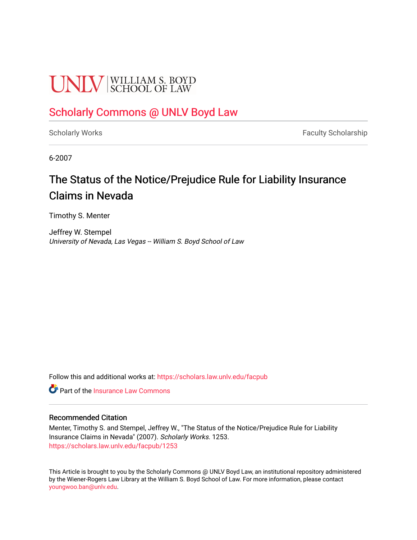# **UNLV** SCHOOL OF LAW

### [Scholarly Commons @ UNLV Boyd Law](https://scholars.law.unlv.edu/)

[Scholarly Works](https://scholars.law.unlv.edu/facpub) **Faculty Scholarship** Faculty Scholarship

6-2007

### The Status of the Notice/Prejudice Rule for Liability Insurance Claims in Nevada

Timothy S. Menter

Jeffrey W. Stempel University of Nevada, Las Vegas -- William S. Boyd School of Law

Follow this and additional works at: [https://scholars.law.unlv.edu/facpub](https://scholars.law.unlv.edu/facpub?utm_source=scholars.law.unlv.edu%2Ffacpub%2F1253&utm_medium=PDF&utm_campaign=PDFCoverPages)

**C** Part of the [Insurance Law Commons](http://network.bepress.com/hgg/discipline/607?utm_source=scholars.law.unlv.edu%2Ffacpub%2F1253&utm_medium=PDF&utm_campaign=PDFCoverPages)

#### Recommended Citation

Menter, Timothy S. and Stempel, Jeffrey W., "The Status of the Notice/Prejudice Rule for Liability Insurance Claims in Nevada" (2007). Scholarly Works. 1253. [https://scholars.law.unlv.edu/facpub/1253](https://scholars.law.unlv.edu/facpub/1253?utm_source=scholars.law.unlv.edu%2Ffacpub%2F1253&utm_medium=PDF&utm_campaign=PDFCoverPages) 

This Article is brought to you by the Scholarly Commons @ UNLV Boyd Law, an institutional repository administered by the Wiener-Rogers Law Library at the William S. Boyd School of Law. For more information, please contact [youngwoo.ban@unlv.edu.](mailto:youngwoo.ban@unlv.edu)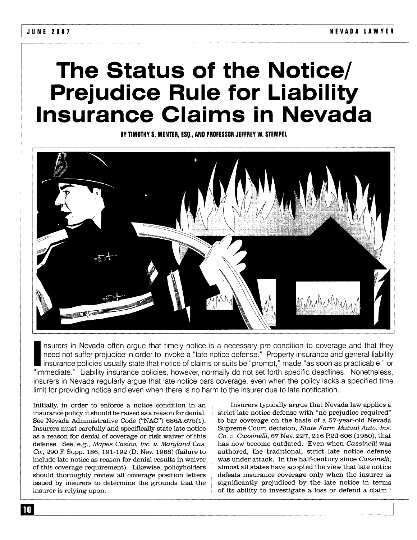## **The Status of the Notice/ Prejudice Rule for Liability Insurance Claims in Nevada**

**BY TIMOTHY S. MENTER, ESQ., AND PROFESSOR JEFFREY W. STEMPEL**



nsurers in Nevada often argue that timely notice is a necessary pre-condition to coverage and that they need not suffer prejudice in order to invoke a "late notice defense." Property insurance and general liability insurance policies usually state that notice of claims or suits be "prompt," made "as soon as practicable," or "immediate." Liability insurance policies, however, normally do not set forth specific deadlines. Nonetheless, insurers in Nevada regularly argue that late notice bars coverage, even when the policy lacks a specified time limit for providing notice and even when there is no harm to the insurer due to late notification.

Initially, in order to enforce a notice condition in an insurance policy, it should be raised as a reason for denial. See Nevada Administrative Code ("NAC") **686A.675(I).** Insurers must carefully and specifically state late notice as a reason for denial of coverage or risk waiver of this defense. See, e.g., *Mapes Casino, Inc. v. Maryland Cas. Co.*, 290 F. Supp. 186, 191-192 (D. Nev. 1968) (failure to include late notice as reason for denial results in waiver of this coverage requirement). Likewise, policyholders should thoroughly review all coverage position letters issued by insurers to determine the grounds that the insurer is relying upon.

Insurers typically argue that Nevada law applies a strict late notice defense with "no prejudice required" to bar coverage on the basis of a 57-year-old Nevada Supreme Court decision, *State Farm Mutual Auto. Ins. Co. v. Cassinelli,* **67** Nev. **227, 216 P.2d 606 (1950),** that has now become outdated. Even when *Cassinelli* was authored, the traditional, strict late notice defense was under attack. In the half-century since *Cassinelli,* almost all states have adopted the view that late notice defeats insurance coverage only when the insurer is significantly prejudiced by the late notice in terms of its ability to investigate a loss or defend a claim.'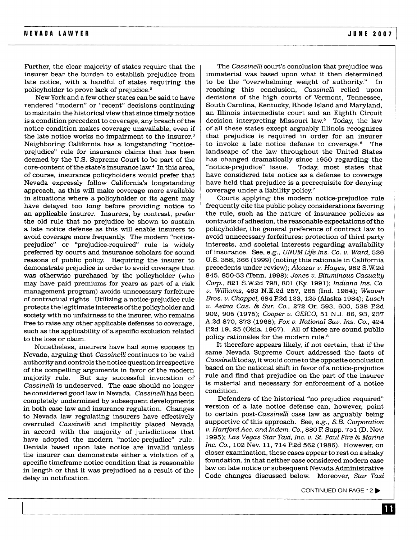Further, the clear majority of states require that the insurer bear the burden to establish prejudice from late notice, with a handful of states requiring the policyholder to prove lack of prejudice. <sup>2</sup>

New York and a few other states can be said to have rendered "modern" or "recent" decisions continuing to maintain the historical view that since timely notice is a condition precedent to coverage, any breach of the notice condition makes coverage unavailable, even if the late notice works no impairment to the insurer.<sup>3</sup> Neighboring California has a longstanding "noticeprejudice" rule for insurance claims that has been deemed by the U.S. Supreme Court to be part of the core-content of the state's insurance law.' In this area, of course, insurance policyholders would prefer that Nevada expressly follow California's longstanding approach, as this will make coverage more available in situations where a policyholder or its agent may have delayed too long before providing notice to an applicable insurer. Insurers, by contrast, prefer the old rule that no prejudice be shown to sustain a late notice defense as this will enable insurers to avoid coverage more frequently. The modern "noticeprejudice" or "prejudice-required" rule is widely preferred by courts and insurance scholars for sound reasons of public policy. Requiring the insurer to demonstrate prejudice in order to avoid coverage that was otherwise purchased by the policyholder (who may have paid premiums for years as part of a risk management program) avoids unnecessary forfeiture of contractual rights. Utilizing a notice-prejudice rule protects the legitimate interests of the policyholder and society with no unfairness to the insurer, who remains free to raise any other applicable defenses to coverage, such as the applicability of a specific exclusion related to the loss or claim.

Nonetheless, insurers have had some success in Nevada, arguing that *Cassinelli* continues to be valid authority and controls the notice question irrespective of the compelling arguments in favor of the modern majority rule. But any successful invocation of *Cassinelli* is undeserved. The case should no longer be considered good law in Nevada. *Cassinelli* has been completely undermined by subsequent developments in both case law and insurance regulation. Changes to Nevada law regulating insurers have effectively overruled *Cassinelli* and implicitly placed Nevada in accord with the majority of jurisdictions that have adopted the modern "notice-prejudice" rule. Denials based upon late notice are invalid unless the insurer can demonstrate either a violation of a specific timeframe notice condition that is reasonable in length or that it was prejudiced as a result of the delay in notification.

The *Cassinelli* court's conclusion that prejudice was immaterial was based upon what it then determined to be the "overwhelming weight of authority." In reaching this conclusion, *Cassinelli* relied upon decisions of the high courts of Vermont, Tennessee, South Carolina, Kentucky, Rhode Island and Maryland, an Illinois intermediate court and an Eighth Circuit decision interpreting Missouri law.<sup>5</sup> Today, the law of all these states except arguably Illinois recognizes that prejudice is required in order for an insurer to invoke a late notice defense to coverage.6 The landscape of the law throughout the United States has changed dramatically since 1950 regarding the "notice-prejudice" issue. Today, most states that "notice-prejudice" issue. have considered late notice as a defense to coverage have held that prejudice is a prerequisite for denying coverage under a liability policy.'

Courts applying the modern notice-prejudice rule frequently cite the public policy considerations favoring the rule, such as the nature of insurance policies as contracts of adhesion, the reasonable expectations of the policyholder, the general preference of contract law to avoid unnecessary forfeitures: protection of third party interests, and societal interests regarding availability of insurance. See, e.g., *UNUM Life Ins. Co. v. Ward,* 526 U.S. 358, 366 (1999) (noting this rationale in California precedents under review); *Alcazar v. Hayes,* 982 S.W2d 845, 850-53 (Tenn. 1998); *Jones v. Bituminous Casualty Corp.,* 821 S.W2d 798, 801 (Ky. 1991); *Indiana Ins. Co. v. Williams,* 463 N.E.2d 257, 265 (Ind. 1984); *Weaver Bros. v. Chappel,* 684 P.2d 123, 125 (Alaska 1984); *Lusch v. Aetna Cas. & Sur. Co.,* 272 Or. 593, 600, 538 P2d 902, 905 (1975); *Cooper v. GEICO,* 51 N.J. 86, 93, 237 A.2d 870, 873 (1968); *Fox v. National Say. Ins. Co.,* 424 P.2d 19, 25 (Okla. 1967). **All** of these are sound public policy rationales for the modern rule.'

It therefore appears likely, if not certain, that if the same Nevada Supreme Court addressed the facts of *Cassinellitoday,* it would come to the opposite conclusion based on the national shift in favor of a notice-prejudice rule and find that prejudice on the part of the insurer is material and necessary for enforcement of a notice condition.

Defenders of the historical "no prejudice required" version of a late notice defense can, however, point to certain *post-Cassinelli* case law as arguably being supportive of this approach. See, e.g., *S.B. Corporation v. Hartford Acc. and Indem. Co.,* 880 F. Supp. 751 (D. Nev. 1995); *Las Vegas Star Taxi, Inc. v. St. Paul Fire & Marine Inc. Co.,* 102 Nev. 11, 714 P2d 562 (1986). However, on closer examination, these cases appear to rest on a shaky foundation, in that neither case considered modern case law on late notice or subsequent Nevada Administrative Code changes discussed below. Moreover, *Star Taxi*

CONTINUED ON PAGE 12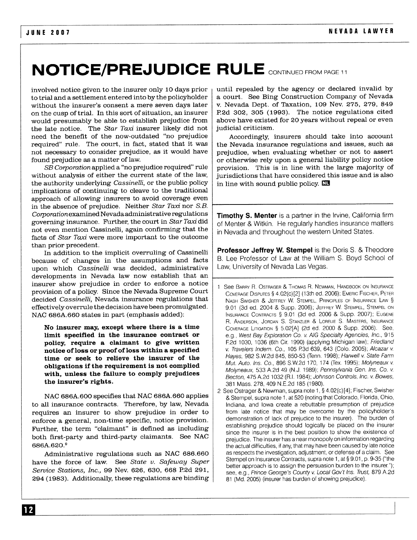## **NOTICE/PREJUDICE RULE** CONTINUED FROM PAGE 11

involved notice given to the insurer only **10** days prior to trial and a settlement entered into by the policyholder without the insurer's consent a mere seven days later on the cusp of trial. In this sort of situation, an insurer would presumably be able to establish prejudice from the late notice. The *Star Taxi* insurer likely did not need the benefit of the now-outdated "no prejudice required" rule. The court, in fact, stated that it was not necessary to consider prejudice, as it would have found prejudice as a matter of law.

*SB Corporation* applied a "no prejudice required" rule without analysis of either the current state of the law, the authority underlying *Cassinelli,* or the public policy implications of continuing to cleave to the traditional approach of allowing insurers to avoid coverage even in the absence of prejudice. Neither *Star Taxi* nor *S.B. Corporationexamined* Nevada administrative regulations governing insurance. Further, the court in *Star Taxi* did not even mention Cassinelli, again confirming that the facts of *Star Taxi* were more important to the outcome than prior precedent.

In addition to the implicit overruling of Cassinelli because of changes in the assumptions and facts upon which *Cassinelli* was decided, administrative developments in Nevada law now establish that an insurer show prejudice in order to enforce a notice provision of a policy. Since the Nevada Supreme Court decided *Cassinelli,* Nevada insurance regulations that effectively overrule the decision have been promulgated. NAC 686A.660 states in part (emphasis added):

**No insurer may, except where there is a time limit specified in the insurance contract or policy, require a claimant to give written notice of loss or proof of loss within a specified time or seek to relieve the insurer of the obligations if the requirement is not complied with, unless the failure to comply prejudices the insurer's rights.**

**NAC 686A.600** specifies that NAC **686A.660** applies to all insurance contracts. Therefore, by law, Nevada requires an insurer to show prejudice in order to enforce a general, non-time specific, notice provision. Further, the term "claimant" is defined as including both first-party and third-party claimants. See NAC 686A.620.9

Administrative regulations such as NAC 686.660 have the force of law. See *State v. Safeway Super Service Stations, Inc.,* **99** Nev. 626, 630, 668 P.2d 291, 294 (1983). Additionally, these regulations are binding

until repealed by the agency or declared invalid by a court. See Bing Construction Company of Nevada v. Nevada Dept. of Taxation, 109 Nev. 275, 279, 849 P.2d 302, 305 (1993). The notice regulations cited above have existed for 20 years without repeal or even judicial criticism.

Accordingly, insurers should take into account the Nevada insurance regulations and issues, such as prejudice, when evaluating whether or not to assert or otherwise rely upon a general liability policy notice provision. This is in line with the large majority of jurisdictions that have considered this issue and is also in line with sound public policy. **C**

**Timothy S. Menter** is a partner in the Irvine, California firm of Menter & Witkin. He regularly handles insurance matters in Nevada and throughout the western United States.

**Professor Jeffrey W. Stempel** is the Doris S. & Theodore B. Lee Professor of Law at the William S. Boyd School of Law, University of Nevada Las Vegas.

- 1 See BARRY R. OSTRAGER & THOMAS R. NEWMAN, HANDBOOK ON INSURANCE COVERAGE **DISPUTES §** 4.02(c)[2] (13th ed. 2006); EMERIC FISCHER, PETER NASH SWISHER **&** JEFFREY W. STEMPEL, PRINCIPLES OF INSURANCE LAW § 9.01 (3d ed. 2004 & Supp. 2006); JEFFREY W. STEMPEL, STEMPEL ON INSURANCE CONTRACTS **§** 9.01 (3d ed. 2006 & Supp. 2007); EUGENE R. ANDERSON, JORDAN S. STANZLER & LORELIE S. MASTERS, INSURANCE COVERAGE LITIGATION § 5.02[A] (2d ed. 2000 & Supp. 2006). See, e.g., West Bay Exploration Co. v. AIG Specialty Agencies, *Inc.,* 915 **F2d** 1030, 1036 (6th Cir 1990) (applying Michigan law); Friedland v. Travelers Inden. Co., 105 **P3d** 639, 643 (Colo. 2005); Alcazar v Hayes, 982 S.W.2d 845, 850-53 (Tenn. 1998); Harwell v. State Farm Mut. Auto. Ins. Co., 896 S.W.2d 170, 174 (Tex. 1995); Molyneaux v. Molyneaux, 533 A.2d 49 (N.J. 1989); Pennsylvania Gen. Ins. Co. v. Becton, 475 A.2d 1032 (R.I. 1984); Johnson Controls, Inc. v. Bowes, 381 Mass. 278, 409 N.E.2d 185 (1980).
- 2 See Ostrager & Newman, supra note 1, § 4.02(c) [4]; Fischer, Swisher & Stempel, supra note 1, at 520 (noting that Colorado, Florida, Ohio, Indiana, and Iowa create a rebuttable presumption of prejudice from late notice that may be overcome by the policyholder's demonstration of lack of prejudice to the insurer). The burden of establishing prejudice should logically be placed on the insurer since the insurer is in the best position to show the existence of prejudice. The insurer has a near monopoly on information regarding the actual difficulties, if any, that may have been caused by late notice as respects the investigation, adjustment, or defense of a claim. See Stempel on Insurance Contracts, supra note 1, at § 9.01, p. 9-35 ("the better approach is to assign the persuasion burden to the insurer."); see, e.g., Prince George's County v. Local Gov't Ins. Trust, 879 A.2d 81 (Md. 2005) (insurer has burden of showing prejudice).